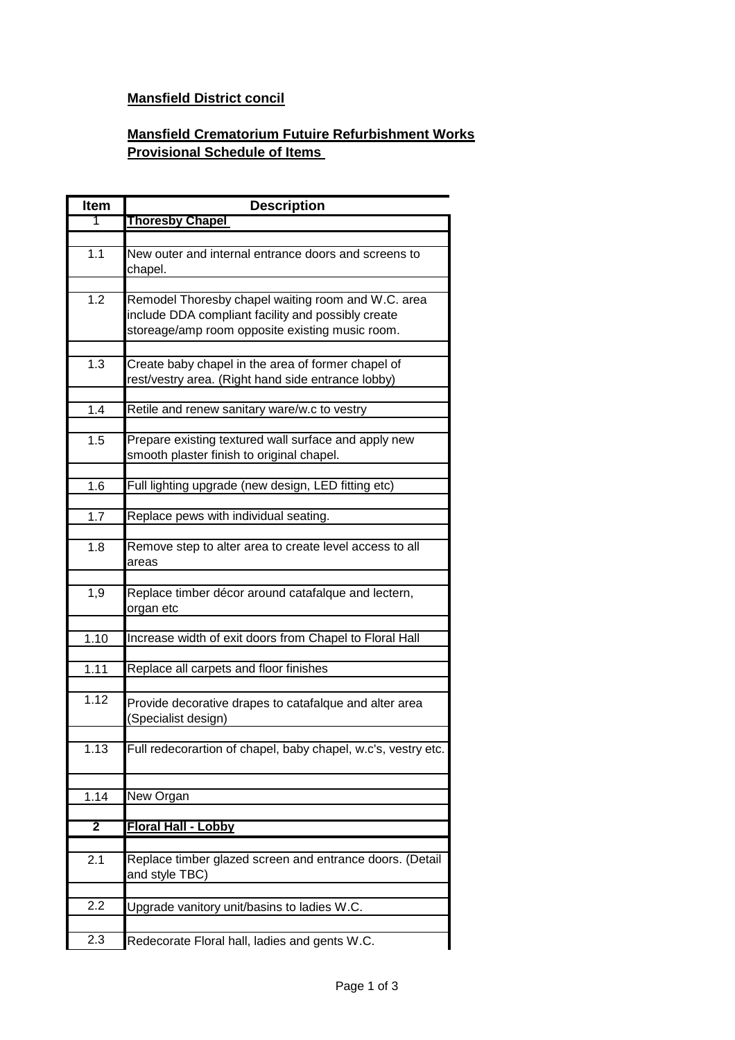## **Mansfield District concil**

## **Mansfield Crematorium Futuire Refurbishment Works Provisional Schedule of Items**

| <b>Item</b>    | <b>Description</b>                                                                                                                                          |
|----------------|-------------------------------------------------------------------------------------------------------------------------------------------------------------|
| 1              | <b>Thoresby Chapel</b>                                                                                                                                      |
|                |                                                                                                                                                             |
| 1.1            | New outer and internal entrance doors and screens to<br>chapel.                                                                                             |
|                |                                                                                                                                                             |
| 1.2            | Remodel Thoresby chapel waiting room and W.C. area<br>include DDA compliant facility and possibly create<br>storeage/amp room opposite existing music room. |
|                |                                                                                                                                                             |
| 1.3            | Create baby chapel in the area of former chapel of<br>rest/vestry area. (Right hand side entrance lobby)                                                    |
|                |                                                                                                                                                             |
| 1.4            | Retile and renew sanitary ware/w.c to vestry                                                                                                                |
| 1.5            | Prepare existing textured wall surface and apply new<br>smooth plaster finish to original chapel.                                                           |
|                |                                                                                                                                                             |
| 1.6            | Full lighting upgrade (new design, LED fitting etc)                                                                                                         |
| 1.7            | Replace pews with individual seating.                                                                                                                       |
| 1.8            | Remove step to alter area to create level access to all<br>areas                                                                                            |
| 1,9            | Replace timber décor around catafalque and lectern,<br>organ etc                                                                                            |
| 1.10           | Increase width of exit doors from Chapel to Floral Hall                                                                                                     |
|                |                                                                                                                                                             |
| 1.11           | Replace all carpets and floor finishes                                                                                                                      |
| 1.12           | Provide decorative drapes to catafalque and alter area<br>(Specialist design)                                                                               |
| 1.13           | Full redecorartion of chapel, baby chapel, w.c's, vestry etc.                                                                                               |
|                |                                                                                                                                                             |
| 1.14           | New Organ                                                                                                                                                   |
| $\overline{2}$ | Floral Hall - Lobby                                                                                                                                         |
|                |                                                                                                                                                             |
| 2.1            | Replace timber glazed screen and entrance doors. (Detail<br>and style TBC)                                                                                  |
|                |                                                                                                                                                             |
| 2.2            | Upgrade vanitory unit/basins to ladies W.C.                                                                                                                 |
| 2.3            | Redecorate Floral hall, ladies and gents W.C.                                                                                                               |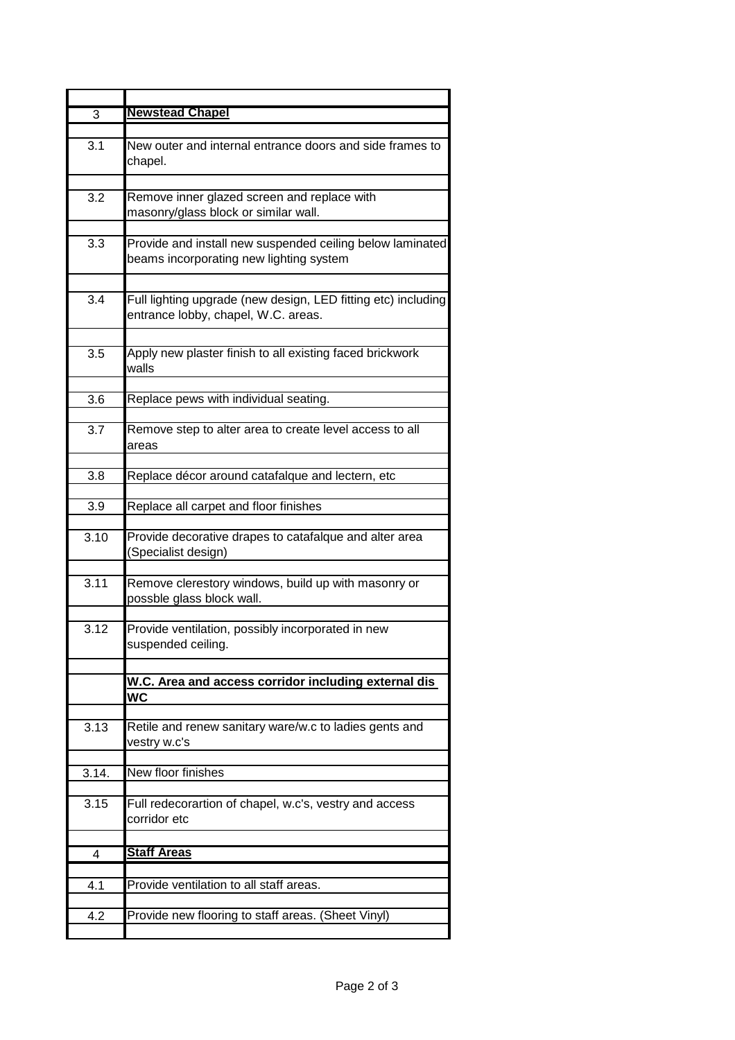| $\overline{3}$ | <b>Newstead Chapel</b>                                                                               |
|----------------|------------------------------------------------------------------------------------------------------|
| 3.1            | New outer and internal entrance doors and side frames to<br>chapel.                                  |
| 3.2            | Remove inner glazed screen and replace with<br>masonry/glass block or similar wall.                  |
| 3.3            | Provide and install new suspended ceiling below laminated<br>beams incorporating new lighting system |
| 3.4            | Full lighting upgrade (new design, LED fitting etc) including<br>entrance lobby, chapel, W.C. areas. |
| 3.5            | Apply new plaster finish to all existing faced brickwork<br>walls                                    |
| 3.6            | Replace pews with individual seating.                                                                |
| 3.7            | Remove step to alter area to create level access to all<br>areas                                     |
| 3.8            | Replace décor around catafalque and lectern, etc                                                     |
| 3.9            | Replace all carpet and floor finishes                                                                |
| 3.10           | Provide decorative drapes to catafalque and alter area<br>(Specialist design)                        |
| 3.11           | Remove clerestory windows, build up with masonry or<br>possble glass block wall.                     |
| 3.12           | Provide ventilation, possibly incorporated in new<br>suspended ceiling.                              |
|                | W.C. Area and access corridor including external dis<br>WC                                           |
| 3.13           | Retile and renew sanitary ware/w.c to ladies gents and<br>vestry w.c's                               |
| 3.14.          | New floor finishes                                                                                   |
| 3.15           | Full redecorartion of chapel, w.c's, vestry and access<br>corridor etc                               |
| 4              | <b>Staff Areas</b>                                                                                   |
| 4.1            | Provide ventilation to all staff areas.                                                              |
| 4.2            | Provide new flooring to staff areas. (Sheet Vinyl)                                                   |
|                |                                                                                                      |